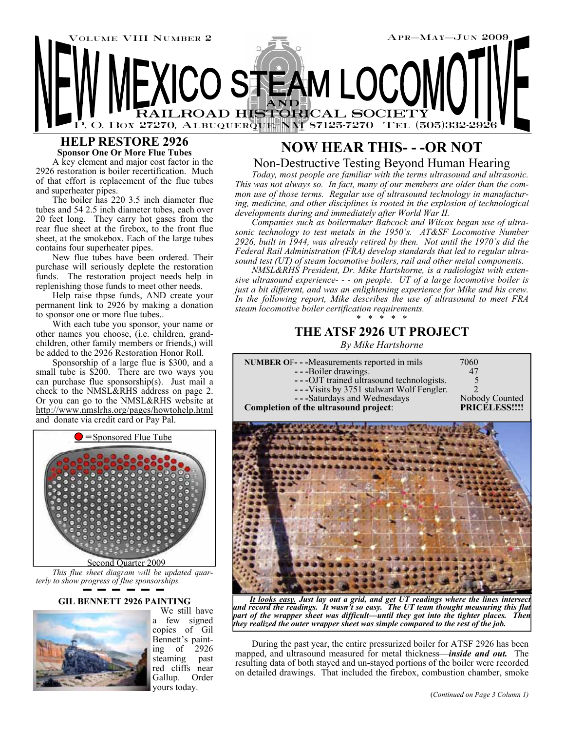

### **HELP RESTORE 2926 Sponsor One Or More Flue Tubes**

A key element and major cost factor in the 2926 restoration is boiler recertification. Much of that effort is replacement of the flue tubes and superheater pipes.

The boiler has 220 3.5 inch diameter flue tubes and 54 2.5 inch diameter tubes, each over 20 feet long. They carry hot gases from the rear flue sheet at the firebox, to the front flue sheet, at the smokebox. Each of the large tubes contains four superheater pipes.

New flue tubes have been ordered. Their purchase will seriously deplete the restoration funds. The restoration project needs help in replenishing those funds to meet other needs.

Help raise thpse funds, AND create your permanent link to 2926 by making a donation to sponsor one or more flue tubes..

With each tube you sponsor, your name or other names you choose, (i.e. children, grandchildren, other family members or friends,) will be added to the 2926 Restoration Honor Roll.

Sponsorship of a large flue is \$300, and a small tube is \$200. There are two ways you can purchase flue sponsorship(s). Just mail a check to the NMSL&RHS address on page 2. Or you can go to the NMSL&RHS website at http://www.nmslrhs.org/pages/howtohelp.html and donate via credit card or Pay Pal.



*This flue sheet diagram will be updated quarterly to show progress of flue sponsorships.* 

### **GIL BENNETT 2926 PAINTING**



 We still have a few signed copies of Gil Bennett's painting of 2926 steaming past red cliffs near Gallup. Order yours today.

# **NOW HEAR THIS- - -OR NOT**  Non-Destructive Testing Beyond Human Hearing

*Today, most people are familiar with the terms ultrasound and ultrasonic. This was not always so. In fact, many of our members are older than the common use of those terms. Regular use of ultrasound technology in manufacturing, medicine, and other disciplines is rooted in the explosion of technological developments during and immediately after World War II.* 

*Companies such as boilermaker Babcock and Wilcox began use of ultrasonic technology to test metals in the 1950's. AT&SF Locomotive Number 2926, built in 1944, was already retired by then. Not until the 1970's did the Federal Rail Administration (FRA) develop standards that led to regular ultrasound test (UT) of steam locomotive boilers, rail and other metal components.* 

*NMSL&RHS President, Dr. Mike Hartshorne, is a radiologist with extensive ultrasound experience- - - on people. UT of a large locomotive boiler is just a bit different, and was an enlightening experience for Mike and his crew. In the following report, Mike describes the use of ultrasound to meet FRA steam locomotive boiler certification requirements.*  \* \* \* \* \*

## **THE ATSF 2926 UT PROJECT**

*By Mike Hartshorne* 

| <b>NUMBER OF- -- Measurements reported in mils</b><br>--Boiler drawings.<br>---OJT trained ultrasound technologists.<br>---Visits by 3751 stalwart Wolf Fengler.<br>---Saturdays and Wednesdays<br>Completion of the ultrasound project: | 7060<br>47<br>Nobody Counted<br>PRICELESS!!!! |
|------------------------------------------------------------------------------------------------------------------------------------------------------------------------------------------------------------------------------------------|-----------------------------------------------|
|                                                                                                                                                                                                                                          |                                               |
|                                                                                                                                                                                                                                          |                                               |

*It looks easy. Just lay out a grid, and get UT readings where the lines intersect and record the readings. It wasn't so easy. The UT team thought measuring this flat part of the wrapper sheet was difficult—until they got into the tighter places. Then they realized the outer wrapper sheet was simple compared to the rest of the job.* 

During the past year, the entire pressurized boiler for ATSF 2926 has been mapped, and ultrasound measured for metal thickness—*inside and out.* The resulting data of both stayed and un-stayed portions of the boiler were recorded on detailed drawings. That included the firebox, combustion chamber, smoke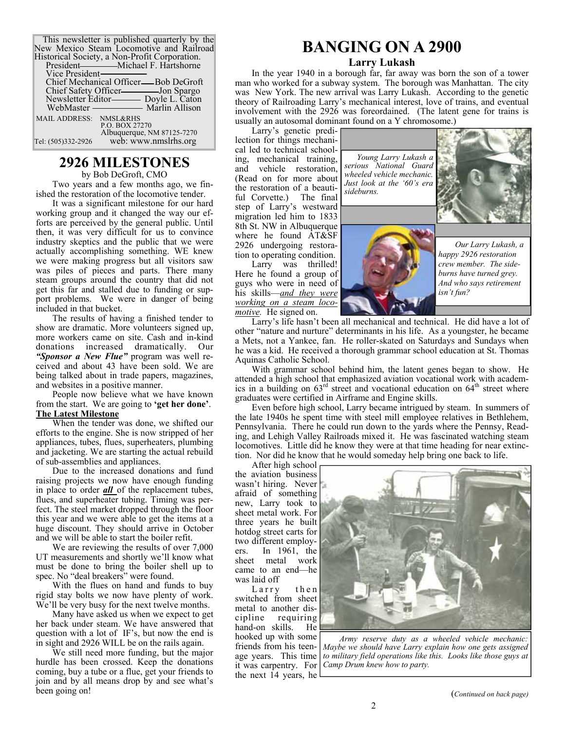| This newsletter is published quarterly by the<br>New Mexico Steam Locomotive and Railroad |  |
|-------------------------------------------------------------------------------------------|--|
|                                                                                           |  |
| Historical Society, a Non-Profit Corporation.                                             |  |

| Vice President-                            |  |
|--------------------------------------------|--|
| Chief Mechanical Officer—Bob DeGroft       |  |
| Chief Safety Officer-Jon Spargo            |  |
|                                            |  |
|                                            |  |
| MAIL ADDRESS: NMSL&RHS                     |  |
| P.O. BOX 27270                             |  |
| Albuquerque, NM 87125-7270                 |  |
| web: www.nmslrhs.org<br>Tel: (505)332-2926 |  |

## **2926 MILESTONES**

by Bob DeGroft, CMO Two years and a few months ago, we finished the restoration of the locomotive tender.

It was a significant milestone for our hard working group and it changed the way our efforts are perceived by the general public. Until then, it was very difficult for us to convince industry skeptics and the public that we were actually accomplishing something. WE knew we were making progress but all visitors saw was piles of pieces and parts. There many steam groups around the country that did not get this far and stalled due to funding or support problems. We were in danger of being included in that bucket.

The results of having a finished tender to show are dramatic. More volunteers signed up, more workers came on site. Cash and in-kind donations increased dramatically. Our *"Sponsor a New Flue"* program was well received and about 43 have been sold. We are being talked about in trade papers, magazines, and websites in a positive manner.

People now believe what we have known from the start. We are going to **'get her done'**. **The Latest Milestone**

When the tender was done, we shifted our efforts to the engine. She is now stripped of her appliances, tubes, flues, superheaters, plumbing and jacketing. We are starting the actual rebuild of sub-assemblies and appliances.

Due to the increased donations and fund raising projects we now have enough funding in place to order *all* of the replacement tubes, flues, and superheater tubing. Timing was perfect. The steel market dropped through the floor this year and we were able to get the items at a huge discount. They should arrive in October and we will be able to start the boiler refit.

We are reviewing the results of over 7,000 UT measurements and shortly we'll know what must be done to bring the boiler shell up to spec. No "deal breakers" were found.

With the flues on hand and funds to buy rigid stay bolts we now have plenty of work. We'll be very busy for the next twelve months.

Many have asked us when we expect to get her back under steam. We have answered that question with a lot of IF's, but now the end is in sight and 2926 WILL be on the rails again.

We still need more funding, but the major hurdle has been crossed. Keep the donations coming, buy a tube or a flue, get your friends to join and by all means drop by and see what's been going on!

# **BANGING ON A 2900**

#### **Larry Lukash**

In the year 1940 in a borough far, far away was born the son of a tower man who worked for a subway system. The borough was Manhattan. The city was New York. The new arrival was Larry Lukash. According to the genetic theory of Railroading Larry's mechanical interest, love of trains, and eventual involvement with the 2926 was foreordained. (The latent gene for trains is usually an autosomal dominant found on a Y chromosome.)

Larry's genetic predilection for things mechanical led to technical schooling, mechanical training, and vehicle restoration, (Read on for more about the restoration of a beautiful Corvette.) The final step of Larry's westward migration led him to 1833 8th St. NW in Albuquerque where he found AT&SF 2926 undergoing restoration to operating condition.

Larry was thrilled! Here he found a group of guys who were in need of his skills—*and they were working on a steam locomotive.* He signed on.

*Young Larry Lukash a serious National Guard wheeled vehicle mechanic. Just look at the '60's era sideburns.* 



*Our Larry Lukash, a happy 2926 restoration crew member. The sideburns have turned grey. And who says retirement isn't fun?* 

Larry's life hasn't been all mechanical and technical. He did have a lot of other "nature and nurture" determinants in his life. As a youngster, he became a Mets, not a Yankee, fan. He roller-skated on Saturdays and Sundays when he was a kid. He received a thorough grammar school education at St. Thomas Aquinas Catholic School.

With grammar school behind him, the latent genes began to show. He attended a high school that emphasized aviation vocational work with academics in a building on  $63^{\text{rd}}$  street and vocational education on  $64^{\text{th}}$  street where graduates were certified in Airframe and Engine skills.

Even before high school, Larry became intrigued by steam. In summers of the late 1940s he spent time with steel mill employee relatives in Bethlehem, Pennsylvania. There he could run down to the yards where the Pennsy, Reading, and Lehigh Valley Railroads mixed it. He was fascinated watching steam locomotives. Little did he know they were at that time heading for near extinction. Nor did he know that he would someday help bring one back to life.

After high school the aviation business wasn't hiring. Never afraid of something new, Larry took to sheet metal work. For three years he built hotdog street carts for two different employers. In 1961, the sheet metal work came to an end—he was laid off

Larry then switched from sheet metal to another discipline requiring hand-on skills. He hooked up with some friends from his teenage years. This time it was carpentry. For the next 14 years, he



*Army reserve duty as a wheeled vehicle mechanic: Maybe we should have Larry explain how one gets assigned to military field operations like this. Looks like those guys at Camp Drum knew how to party.*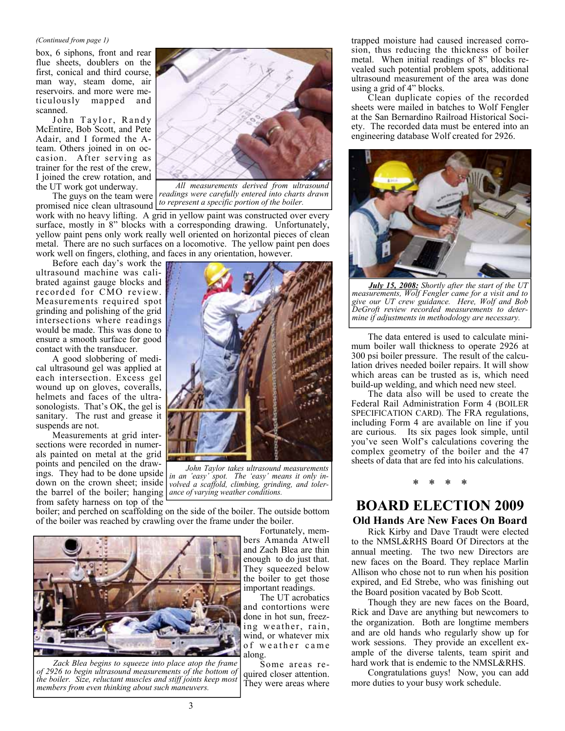#### *(Continued from page 1)*

box, 6 siphons, front and rear flue sheets, doublers on the first, conical and third course, man way, steam dome, air reservoirs. and more were meticulously mapped and scanned.

John Taylor, Randy McEntire, Bob Scott, and Pete Adair, and I formed the Ateam. Others joined in on occasion. After serving as trainer for the rest of the crew, I joined the crew rotation, and the UT work got underway.

The guys on the team were promised nice clean ultrasound

Before each day's work the ultrasound machine was calibrated against gauge blocks and recorded for CMO review. Measurements required spot grinding and polishing of the grid intersections where readings would be made. This was done to ensure a smooth surface for good contact with the transducer.

A good slobbering of medical ultrasound gel was applied at each intersection. Excess gel wound up on gloves, coveralls, helmets and faces of the ultrasonologists. That's OK, the gel is sanitary. The rust and grease it suspends are not.

Measurements at grid intersections were recorded in numerals painted on metal at the grid points and penciled on the drawings. They had to be done upside down on the crown sheet; inside the barrel of the boiler; hanging *ance of varying weather conditions.*  from safety harness on top of the



*All measurements derived from ultrasound readings were carefully entered into charts drawn to represent a specific portion of the boiler.* 

work with no heavy lifting. A grid in yellow paint was constructed over every surface, mostly in 8" blocks with a corresponding drawing. Unfortunately, yellow paint pens only work really well oriented on horizontal pieces of clean metal. There are no such surfaces on a locomotive. The yellow paint pen does work well on fingers, clothing, and faces in any orientation, however.



*John Taylor takes ultrasound measurements in an 'easy' spot. The 'easy' means it only involved a scaffold, climbing, grinding, and toler-*

boiler; and perched on scaffolding on the side of the boiler. The outside bottom of the boiler was reached by crawling over the frame under the boiler.

Fortunately, mem-



*Zack Blea begins to squeeze into place atop the frame of 2926 to begin ultrasound measurements of the bottom of the boiler. Size, reluctant muscles and stiff joints keep most members from even thinking about such maneuvers.* 

bers Amanda Atwell and Zach Blea are thin enough to do just that. They squeezed below the boiler to get those important readings.

 The UT acrobatics and contortions were done in hot sun, freezing weather, rain, wind, or whatever mix of weather came along.

 Some areas required closer attention. They were areas where trapped moisture had caused increased corrosion, thus reducing the thickness of boiler metal. When initial readings of 8" blocks revealed such potential problem spots, additional ultrasound measurement of the area was done using a grid of 4" blocks.

Clean duplicate copies of the recorded sheets were mailed in batches to Wolf Fengler at the San Bernardino Railroad Historical Society. The recorded data must be entered into an engineering database Wolf created for 2926.



*July 15, 2008: Shortly after the start of the UT measurements, Wolf Fengler came for a visit and to give our UT crew guidance. Here, Wolf and Bob DeGroft review recorded measurements to determine if adjustments in methodology are necessary.* 

The data entered is used to calculate minimum boiler wall thickness to operate 2926 at 300 psi boiler pressure. The result of the calculation drives needed boiler repairs. It will show which areas can be trusted as is, which need build-up welding, and which need new steel.

The data also will be used to create the Federal Rail Administration Form 4 (BOILER SPECIFICATION CARD). The FRA regulations, including Form 4 are available on line if you are curious. Its six pages look simple, until you've seen Wolf's calculations covering the complex geometry of the boiler and the 47 sheets of data that are fed into his calculations.

## \* \* \* \*

## **BOARD ELECTION 2009 Old Hands Are New Faces On Board**

Rick Kirby and Dave Traudt were elected to the NMSL&RHS Board Of Directors at the annual meeting. The two new Directors are new faces on the Board. They replace Marlin Allison who chose not to run when his position expired, and Ed Strebe, who was finishing out the Board position vacated by Bob Scott.

Though they are new faces on the Board, Rick and Dave are anything but newcomers to the organization. Both are longtime members and are old hands who regularly show up for work sessions. They provide an excellent example of the diverse talents, team spirit and hard work that is endemic to the NMSL&RHS.

Congratulations guys! Now, you can add more duties to your busy work schedule.